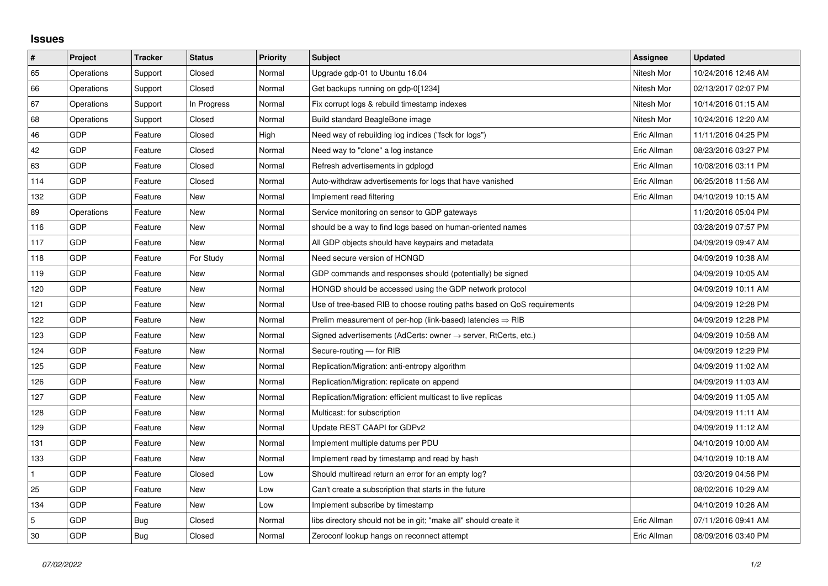## **Issues**

| $\vert$ # | Project    | <b>Tracker</b> | <b>Status</b> | <b>Priority</b> | <b>Subject</b>                                                             | Assignee    | <b>Updated</b>      |
|-----------|------------|----------------|---------------|-----------------|----------------------------------------------------------------------------|-------------|---------------------|
| 65        | Operations | Support        | Closed        | Normal          | Upgrade gdp-01 to Ubuntu 16.04                                             | Nitesh Mor  | 10/24/2016 12:46 AM |
| 66        | Operations | Support        | Closed        | Normal          | Get backups running on gdp-0[1234]                                         | Nitesh Mor  | 02/13/2017 02:07 PM |
| 67        | Operations | Support        | In Progress   | Normal          | Fix corrupt logs & rebuild timestamp indexes                               | Nitesh Mor  | 10/14/2016 01:15 AM |
| 68        | Operations | Support        | Closed        | Normal          | Build standard BeagleBone image                                            | Nitesh Mor  | 10/24/2016 12:20 AM |
| 46        | GDP        | Feature        | Closed        | High            | Need way of rebuilding log indices ("fsck for logs")                       | Eric Allman | 11/11/2016 04:25 PM |
| 42        | <b>GDP</b> | Feature        | Closed        | Normal          | Need way to "clone" a log instance                                         | Eric Allman | 08/23/2016 03:27 PM |
| 63        | <b>GDP</b> | Feature        | Closed        | Normal          | Refresh advertisements in gdplogd                                          | Eric Allman | 10/08/2016 03:11 PM |
| 114       | <b>GDP</b> | Feature        | Closed        | Normal          | Auto-withdraw advertisements for logs that have vanished                   | Eric Allman | 06/25/2018 11:56 AM |
| 132       | <b>GDP</b> | Feature        | New           | Normal          | Implement read filtering                                                   | Eric Allman | 04/10/2019 10:15 AM |
| 89        | Operations | Feature        | New           | Normal          | Service monitoring on sensor to GDP gateways                               |             | 11/20/2016 05:04 PM |
| 116       | <b>GDP</b> | Feature        | New           | Normal          | should be a way to find logs based on human-oriented names                 |             | 03/28/2019 07:57 PM |
| 117       | <b>GDP</b> | Feature        | <b>New</b>    | Normal          | All GDP objects should have keypairs and metadata                          |             | 04/09/2019 09:47 AM |
| 118       | <b>GDP</b> | Feature        | For Study     | Normal          | Need secure version of HONGD                                               |             | 04/09/2019 10:38 AM |
| 119       | <b>GDP</b> | Feature        | <b>New</b>    | Normal          | GDP commands and responses should (potentially) be signed                  |             | 04/09/2019 10:05 AM |
| 120       | <b>GDP</b> | Feature        | New           | Normal          | HONGD should be accessed using the GDP network protocol                    |             | 04/09/2019 10:11 AM |
| 121       | <b>GDP</b> | Feature        | New           | Normal          | Use of tree-based RIB to choose routing paths based on QoS requirements    |             | 04/09/2019 12:28 PM |
| 122       | <b>GDP</b> | Feature        | New           | Normal          | Prelim measurement of per-hop (link-based) latencies $\Rightarrow$ RIB     |             | 04/09/2019 12:28 PM |
| 123       | <b>GDP</b> | Feature        | New           | Normal          | Signed advertisements (AdCerts: owner $\rightarrow$ server, RtCerts, etc.) |             | 04/09/2019 10:58 AM |
| 124       | <b>GDP</b> | Feature        | <b>New</b>    | Normal          | Secure-routing - for RIB                                                   |             | 04/09/2019 12:29 PM |
| 125       | <b>GDP</b> | Feature        | New           | Normal          | Replication/Migration: anti-entropy algorithm                              |             | 04/09/2019 11:02 AM |
| 126       | <b>GDP</b> | Feature        | New           | Normal          | Replication/Migration: replicate on append                                 |             | 04/09/2019 11:03 AM |
| 127       | <b>GDP</b> | Feature        | New           | Normal          | Replication/Migration: efficient multicast to live replicas                |             | 04/09/2019 11:05 AM |
| 128       | <b>GDP</b> | Feature        | New           | Normal          | Multicast: for subscription                                                |             | 04/09/2019 11:11 AM |
| 129       | <b>GDP</b> | Feature        | New           | Normal          | Update REST CAAPI for GDPv2                                                |             | 04/09/2019 11:12 AM |
| 131       | <b>GDP</b> | Feature        | <b>New</b>    | Normal          | Implement multiple datums per PDU                                          |             | 04/10/2019 10:00 AM |
| 133       | <b>GDP</b> | Feature        | <b>New</b>    | Normal          | Implement read by timestamp and read by hash                               |             | 04/10/2019 10:18 AM |
| 1         | <b>GDP</b> | Feature        | Closed        | Low             | Should multiread return an error for an empty log?                         |             | 03/20/2019 04:56 PM |
| 25        | <b>GDP</b> | Feature        | <b>New</b>    | Low             | Can't create a subscription that starts in the future                      |             | 08/02/2016 10:29 AM |
| 134       | GDP        | Feature        | New           | Low             | Implement subscribe by timestamp                                           |             | 04/10/2019 10:26 AM |
| 5         | <b>GDP</b> | Bug            | Closed        | Normal          | libs directory should not be in git; "make all" should create it           | Eric Allman | 07/11/2016 09:41 AM |
| 30        | <b>GDP</b> | Bug            | Closed        | Normal          | Zeroconf lookup hangs on reconnect attempt                                 | Eric Allman | 08/09/2016 03:40 PM |